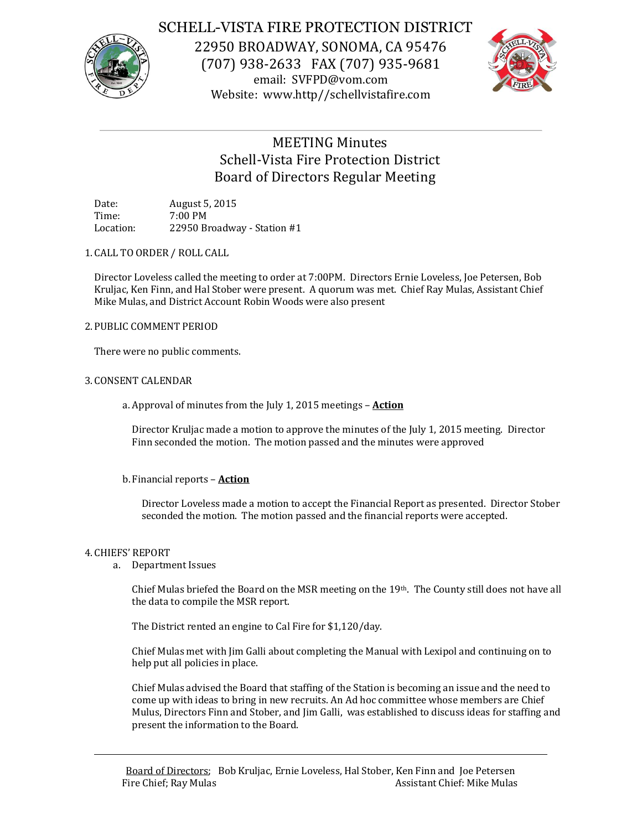

## SCHELL-VISTA FIRE PROTECTION DISTRICT

22950 BROADWAY, SONOMA, CA 95476 (707) 938-2633 FAX (707) 935-9681 email: SVFPD@vom.com Website: www.http//schellvistafire.com



# MEETING Minutes Schell-Vista Fire Protection District Board of Directors Regular Meeting

Date: August 5, 2015 Time: 7:00 PM Location: 22950 Broadway - Station #1

1. CALL TO ORDER / ROLL CALL

Director Loveless called the meeting to order at 7:00PM. Directors Ernie Loveless, Joe Petersen, Bob Kruljac, Ken Finn, and Hal Stober were present. A quorum was met. Chief Ray Mulas, Assistant Chief Mike Mulas, and District Account Robin Woods were also present

## 2. PUBLIC COMMENT PERIOD

There were no public comments.

### 3. CONSENT CALENDAR

a. Approval of minutes from the July 1, 2015 meetings – **Action**

Director Kruljac made a motion to approve the minutes of the July 1, 2015 meeting. Director Finn seconded the motion. The motion passed and the minutes were approved

## b.Financial reports – **Action**

Director Loveless made a motion to accept the Financial Report as presented. Director Stober seconded the motion. The motion passed and the financial reports were accepted.

#### 4. CHIEFS' REPORT

a. Department Issues

Chief Mulas briefed the Board on the MSR meeting on the 19th. The County still does not have all the data to compile the MSR report.

The District rented an engine to Cal Fire for \$1,120/day.

Chief Mulas met with Jim Galli about completing the Manual with Lexipol and continuing on to help put all policies in place.

Chief Mulas advised the Board that staffing of the Station is becoming an issue and the need to come up with ideas to bring in new recruits. An Ad hoc committee whose members are Chief Mulus, Directors Finn and Stober, and Jim Galli, was established to discuss ideas for staffing and present the information to the Board.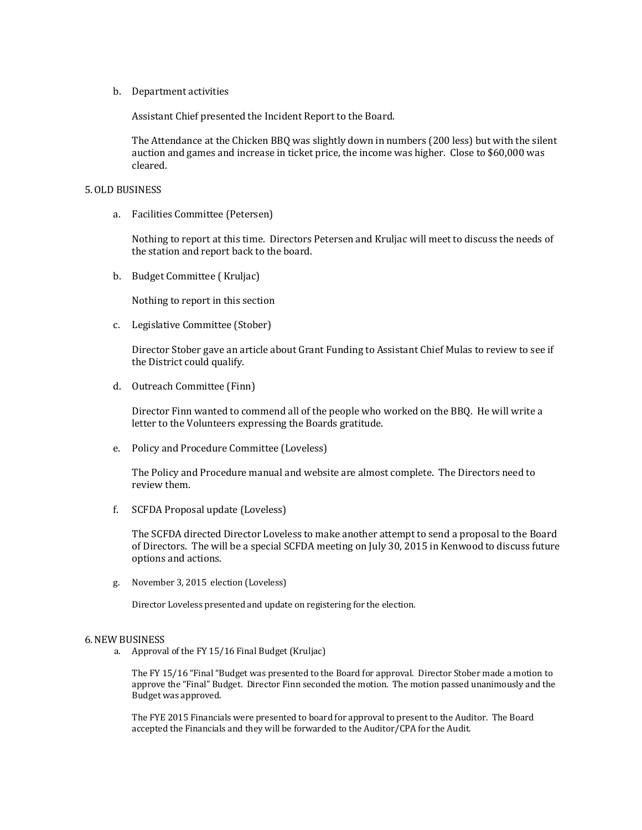#### b. Department activities

Assistant Chief presented the Incident Report to the Board.

The Attendance at the Chicken BBQ was slightly down in numbers (200 less) but with the silent auction and games and increase in ticket price, the income was higher. Close to \$60,000 was cleared.

#### 5.OLD BUSINESS

a. Facilities Committee (Petersen)

Nothing to report at this time. Directors Petersen and Kruljac will meet to discuss the needs of the station and report back to the board.

b. Budget Committee ( Kruljac)

Nothing to report in this section

c. Legislative Committee (Stober)

Director Stober gave an article about Grant Funding to Assistant Chief Mulas to review to see if the District could qualify.

d. Outreach Committee (Finn)

Director Finn wanted to commend all of the people who worked on the BBQ. He will write a letter to the Volunteers expressing the Boards gratitude.

e. Policy and Procedure Committee (Loveless)

The Policy and Procedure manual and website are almost complete. The Directors need to review them.

f. SCFDA Proposal update (Loveless)

The SCFDA directed Director Loveless to make another attempt to send a proposal to the Board of Directors. The will be a special SCFDA meeting on July 30, 2015 in Kenwood to discuss future options and actions.

g. November 3, 2015 election (Loveless)

Director Loveless presented and update on registering for the election.

#### 6.NEW BUSINESS

a. Approval of the FY 15/16 Final Budget (Kruljac)

The FY 15/16 "Final "Budget was presented to the Board for approval. Director Stober made a motion to approve the "Final" Budget. Director Finn seconded the motion. The motion passed unanimously and the Budget was approved.

The FYE 2015 Financials were presented to board for approval to present to the Auditor. The Board accepted the Financials and they will be forwarded to the Auditor/CPA for the Audit.